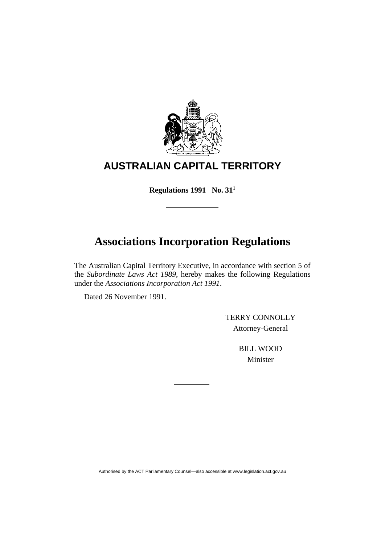

# **AUSTRALIAN CAPITAL TERRITORY**

**Regulations 1991 No. 31**<sup>1</sup>

# **Associations Incorporation Regulations**

The Australian Capital Territory Executive, in accordance with section 5 of the *Subordinate Laws Act 1989*, hereby makes the following Regulations under the *Associations Incorporation Act 1991*.

Dated 26 November 1991.

 TERRY CONNOLLY Attorney-General

> BILL WOOD Minister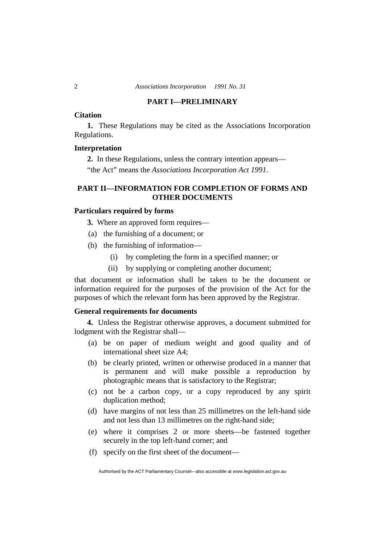# **PART I—PRELIMINARY**

# **Citation**

**1.** These Regulations may be cited as the Associations Incorporation Regulations.

# **Interpretation**

**2.** In these Regulations, unless the contrary intention appears— "the Act" means the *Associations Incorporation Act 1991*.

# **PART II—INFORMATION FOR COMPLETION OF FORMS AND OTHER DOCUMENTS**

# **Particulars required by forms**

**3.** Where an approved form requires—

- (a) the furnishing of a document; or
- (b) the furnishing of information—
	- (i) by completing the form in a specified manner; or
	- (ii) by supplying or completing another document;

that document or information shall be taken to be the document or information required for the purposes of the provision of the Act for the purposes of which the relevant form has been approved by the Registrar.

# **General requirements for documents**

**4.** Unless the Registrar otherwise approves, a document submitted for lodgment with the Registrar shall—

- (a) be on paper of medium weight and good quality and of international sheet size A4;
- (b) be clearly printed, written or otherwise produced in a manner that is permanent and will make possible a reproduction by photographic means that is satisfactory to the Registrar;
- (c) not be a carbon copy, or a copy reproduced by any spirit duplication method;
- (d) have margins of not less than 25 millimetres on the left-hand side and not less than 13 millimetres on the right-hand side;
- (e) where it comprises 2 or more sheets—be fastened together securely in the top left-hand corner; and
- (f) specify on the first sheet of the document—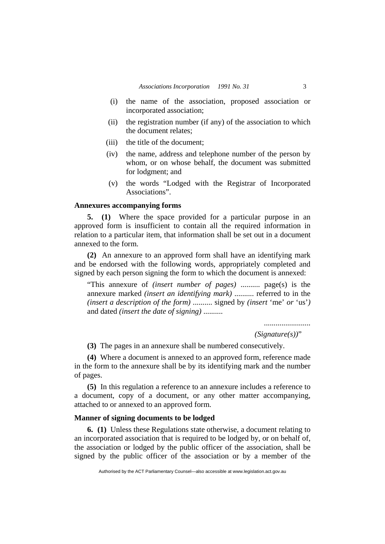- (i) the name of the association, proposed association or incorporated association;
- (ii) the registration number (if any) of the association to which the document relates;
- (iii) the title of the document;
- (iv) the name, address and telephone number of the person by whom, or on whose behalf, the document was submitted for lodgment; and
- (v) the words "Lodged with the Registrar of Incorporated Associations".

# **Annexures accompanying forms**

**5. (1)** Where the space provided for a particular purpose in an approved form is insufficient to contain all the required information in relation to a particular item, that information shall be set out in a document annexed to the form.

**(2)** An annexure to an approved form shall have an identifying mark and be endorsed with the following words, appropriately completed and signed by each person signing the form to which the document is annexed:

"This annexure of *(insert number of pages)* .......... page(s) is the annexure marked *(insert an identifying mark)* .......... referred to in the *(insert a description of the form)* .......... signed by *(insert* 'me' *or* 'us'*)* and dated *(insert the date of signing)* ..........

........................

 *(Signature(s))*"

**(3)** The pages in an annexure shall be numbered consecutively.

**(4)** Where a document is annexed to an approved form, reference made in the form to the annexure shall be by its identifying mark and the number of pages.

**(5)** In this regulation a reference to an annexure includes a reference to a document, copy of a document, or any other matter accompanying, attached to or annexed to an approved form.

# **Manner of signing documents to be lodged**

**6. (1)** Unless these Regulations state otherwise, a document relating to an incorporated association that is required to be lodged by, or on behalf of, the association or lodged by the public officer of the association, shall be signed by the public officer of the association or by a member of the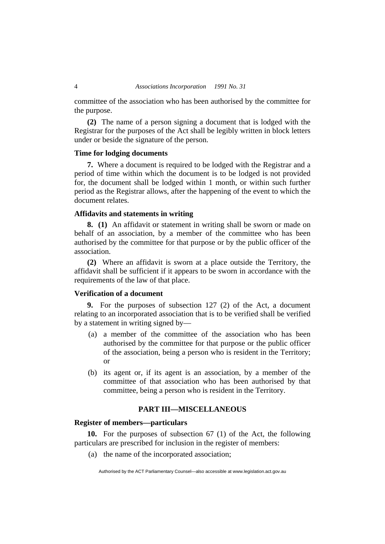committee of the association who has been authorised by the committee for the purpose.

**(2)** The name of a person signing a document that is lodged with the Registrar for the purposes of the Act shall be legibly written in block letters under or beside the signature of the person.

# **Time for lodging documents**

**7.** Where a document is required to be lodged with the Registrar and a period of time within which the document is to be lodged is not provided for, the document shall be lodged within 1 month, or within such further period as the Registrar allows, after the happening of the event to which the document relates.

# **Affidavits and statements in writing**

**8. (1)** An affidavit or statement in writing shall be sworn or made on behalf of an association, by a member of the committee who has been authorised by the committee for that purpose or by the public officer of the association.

**(2)** Where an affidavit is sworn at a place outside the Territory, the affidavit shall be sufficient if it appears to be sworn in accordance with the requirements of the law of that place.

# **Verification of a document**

**9.** For the purposes of subsection 127 (2) of the Act, a document relating to an incorporated association that is to be verified shall be verified by a statement in writing signed by—

- (a) a member of the committee of the association who has been authorised by the committee for that purpose or the public officer of the association, being a person who is resident in the Territory; or
- (b) its agent or, if its agent is an association, by a member of the committee of that association who has been authorised by that committee, being a person who is resident in the Territory.

# **PART III—MISCELLANEOUS**

# **Register of members—particulars**

**10.** For the purposes of subsection 67 (1) of the Act, the following particulars are prescribed for inclusion in the register of members:

(a) the name of the incorporated association;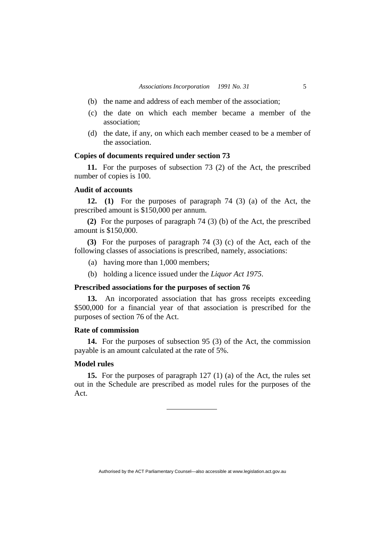- (b) the name and address of each member of the association;
- (c) the date on which each member became a member of the association;
- (d) the date, if any, on which each member ceased to be a member of the association.

# **Copies of documents required under section 73**

**11.** For the purposes of subsection 73 (2) of the Act, the prescribed number of copies is 100.

# **Audit of accounts**

**12. (1)** For the purposes of paragraph 74 (3) (a) of the Act, the prescribed amount is \$150,000 per annum.

**(2)** For the purposes of paragraph 74 (3) (b) of the Act, the prescribed amount is \$150,000.

**(3)** For the purposes of paragraph 74 (3) (c) of the Act, each of the following classes of associations is prescribed, namely, associations:

- (a) having more than 1,000 members;
- (b) holding a licence issued under the *Liquor Act 1975*.

# **Prescribed associations for the purposes of section 76**

**13.** An incorporated association that has gross receipts exceeding \$500,000 for a financial year of that association is prescribed for the purposes of section 76 of the Act.

# **Rate of commission**

**14.** For the purposes of subsection 95 (3) of the Act, the commission payable is an amount calculated at the rate of 5%.

# **Model rules**

**15.** For the purposes of paragraph 127 (1) (a) of the Act, the rules set out in the Schedule are prescribed as model rules for the purposes of the Act.

Authorised by the ACT Parliamentary Counsel—also accessible at www.legislation.act.gov.au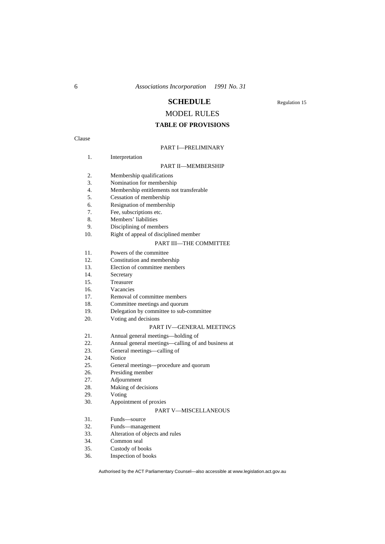# **SCHEDULE** Regulation 15

# MODEL RULES

# **TABLE OF PROVISIONS**

Clause

# PART I—PRELIMINARY

|     | <b>PART II-MEMBERSHIP</b>                |
|-----|------------------------------------------|
| 2.  | Membership qualifications                |
| 3.  | Nomination for membership                |
| 4.  | Membership entitlements not transferable |
| 5.  | Cessation of membership                  |
| 6.  | Resignation of membership                |
| 7.  | Fee, subscriptions etc.                  |
| 8.  | Members' liabilities                     |
| 9.  | Disciplining of members                  |
| 10. | Right of appeal of disciplined member    |
|     | <b>PART III-THE COMMITTEE</b>            |
| 11. | Powers of the committee                  |
| 12. | Constitution and membership              |
| 13. | Election of committee members            |
| 14. | Secretary                                |

15. Treasurer

16. Vacancies

1. Interpretation

17. Removal of committee members

18. Committee meetings and quorum

19. Delegation by committee to sub-committee

20. Voting and decisions

#### PART IV—GENERAL MEETINGS

21. Annual general meetings—holding of

22. Annual general meetings—calling of and business at 23. General meetings—calling of

23. General meetings—calling of 24.

24. Notice<br>25. Genera

25. General meetings—procedure and quorum<br>26. Presiding member

26. Presiding member<br>27. Adiournment

27. Adjournment<br>28. Making of dea

Making of decisions

29. Voting

30. Appointment of proxies

#### PART V—MISCELLANEOUS

31. Funds—source

32. Funds—management

33. Alteration of objects and rules

34. Common seal

35. Custody of books

36. Inspection of books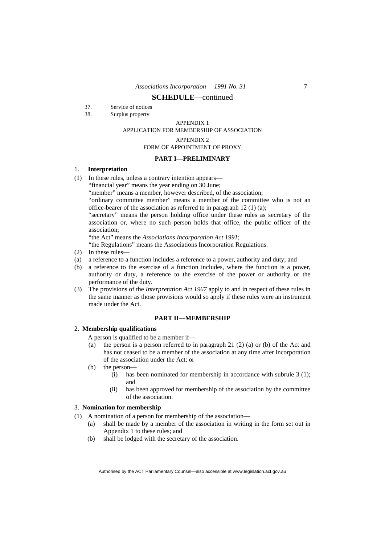- 37. Service of notices
- 38. Surplus property

#### APPENDIX 1

#### APPLICATION FOR MEMBERSHIP OF ASSOCIATION

#### APPENDIX 2

#### FORM OF APPOINTMENT OF PROXY

# **PART I—PRELIMINARY**

# 1. **Interpretation**

- (1) In these rules, unless a contrary intention appears—
	- "financial year" means the year ending on 30 June;

"member" means a member, however described, of the association;

 "ordinary committee member" means a member of the committee who is not an office-bearer of the association as referred to in paragraph 12 (1) (a);

 "secretary" means the person holding office under these rules as secretary of the association or, where no such person holds that office, the public officer of the association;

"the Act" means the *Associations Incorporation Act 1991*;

"the Regulations" means the Associations Incorporation Regulations.

- (2) In these rules—
- (a) a reference to a function includes a reference to a power, authority and duty; and
- (b) a reference to the exercise of a function includes, where the function is a power, authority or duty, a reference to the exercise of the power or authority or the performance of the duty.
- (3) The provisions of the *Interpretation Act 1967* apply to and in respect of these rules in the same manner as those provisions would so apply if these rules were an instrument made under the Act.

#### **PART II—MEMBERSHIP**

# 2. **Membership qualifications**

- A person is qualified to be a member if—
- (a) the person is a person referred to in paragraph 21 (2) (a) or (b) of the Act and has not ceased to be a member of the association at any time after incorporation of the association under the Act; or
- (b) the person—
	- (i) has been nominated for membership in accordance with subrule 3 (1); and
	- (ii) has been approved for membership of the association by the committee of the association.

#### 3. **Nomination for membership**

- (1) A nomination of a person for membership of the association—
	- (a) shall be made by a member of the association in writing in the form set out in Appendix 1 to these rules; and
		- (b) shall be lodged with the secretary of the association.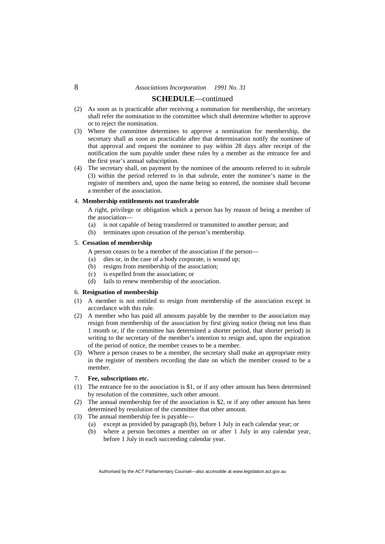# **SCHEDULE**—continued

- (2) As soon as is practicable after receiving a nomination for membership, the secretary shall refer the nomination to the committee which shall determine whether to approve or to reject the nomination.
- (3) Where the committee determines to approve a nomination for membership, the secretary shall as soon as practicable after that determination notify the nominee of that approval and request the nominee to pay within 28 days after receipt of the notification the sum payable under these rules by a member as the entrance fee and the first year's annual subscription.
- (4) The secretary shall, on payment by the nominee of the amounts referred to in subrule (3) within the period referred to in that subrule, enter the nominee's name in the register of members and, upon the name being so entered, the nominee shall become a member of the association.

#### 4. **Membership entitlements not transferable**

 A right, privilege or obligation which a person has by reason of being a member of the association—

- (a) is not capable of being transferred or transmitted to another person; and
- (b) terminates upon cessation of the person's membership.

## 5. **Cessation of membership**

A person ceases to be a member of the association if the person—

- (a) dies or, in the case of a body corporate, is wound up;
- (b) resigns from membership of the association;
- (c) is expelled from the association; or
- (d) fails to renew membership of the association.

#### 6. **Resignation of membership**

- (1) A member is not entitled to resign from membership of the association except in accordance with this rule.
- (2) A member who has paid all amounts payable by the member to the association may resign from membership of the association by first giving notice (being not less than 1 month or, if the committee has determined a shorter period, that shorter period) in writing to the secretary of the member's intention to resign and, upon the expiration of the period of notice, the member ceases to be a member.
- (3) Where a person ceases to be a member, the secretary shall make an appropriate entry in the register of members recording the date on which the member ceased to be a member.

#### 7. **Fee, subscriptions etc.**

- (1) The entrance fee to the association is \$1, or if any other amount has been determined by resolution of the committee, such other amount.
- (2) The annual membership fee of the association is \$2, or if any other amount has been determined by resolution of the committee that other amount.
- (3) The annual membership fee is payable—
	- (a) except as provided by paragraph (b), before 1 July in each calendar year; or
	- (b) where a person becomes a member on or after 1 July in any calendar year, before 1 July in each succeeding calendar year.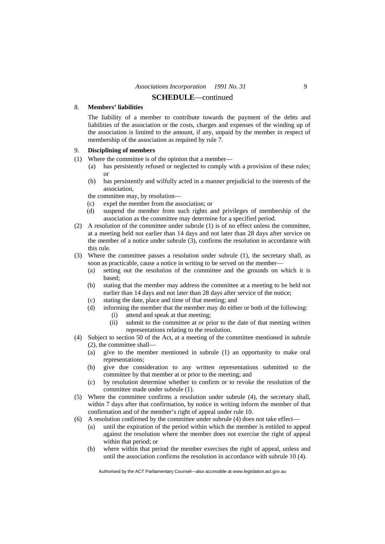#### 8. **Members' liabilities**

 The liability of a member to contribute towards the payment of the debts and liabilities of the association or the costs, charges and expenses of the winding up of the association is limited to the amount, if any, unpaid by the member in respect of membership of the association as required by rule 7.

#### 9. **Disciplining of members**

- (1) Where the committee is of the opinion that a member—
	- (a) has persistently refused or neglected to comply with a provision of these rules; or
	- (b) has persistently and wilfully acted in a manner prejudicial to the interests of the association,

the committee may, by resolution—

- (c) expel the member from the association; or
- (d) suspend the member from such rights and privileges of membership of the association as the committee may determine for a specified period.
- (2) A resolution of the committee under subrule (1) is of no effect unless the committee, at a meeting held not earlier than 14 days and not later than 28 days after service on the member of a notice under subrule (3), confirms the resolution in accordance with this rule.
- (3) Where the committee passes a resolution under subrule (1), the secretary shall, as soon as practicable, cause a notice in writing to be served on the member—
	- (a) setting out the resolution of the committee and the grounds on which it is based;
	- (b) stating that the member may address the committee at a meeting to be held not earlier than 14 days and not later than 28 days after service of the notice;
	- (c) stating the date, place and time of that meeting; and
	- (d) informing the member that the member may do either or both of the following:
		- (i) attend and speak at that meeting;
		- (ii) submit to the committee at or prior to the date of that meeting written representations relating to the resolution.
- (4) Subject to section 50 of the Act, at a meeting of the committee mentioned in subrule (2), the committee shall—
	- (a) give to the member mentioned in subrule (1) an opportunity to make oral representations;
	- (b) give due consideration to any written representations submitted to the committee by that member at or prior to the meeting; and
	- (c) by resolution determine whether to confirm or to revoke the resolution of the committee made under subrule (1).
- (5) Where the committee confirms a resolution under subrule (4), the secretary shall, within 7 days after that confirmation, by notice in writing inform the member of that confirmation and of the member's right of appeal under rule 10.
- (6) A resolution confirmed by the committee under subrule (4) does not take effect—
	- (a) until the expiration of the period within which the member is entitled to appeal against the resolution where the member does not exercise the right of appeal within that period; or
	- (b) where within that period the member exercises the right of appeal, unless and until the association confirms the resolution in accordance with subrule 10 (4).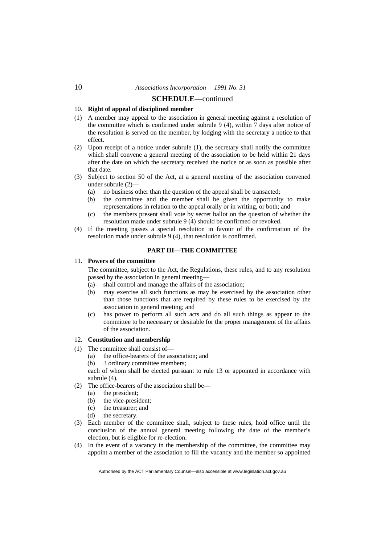# 10. **Right of appeal of disciplined member**

- (1) A member may appeal to the association in general meeting against a resolution of the committee which is confirmed under subrule 9 (4), within 7 days after notice of the resolution is served on the member, by lodging with the secretary a notice to that effect.
- (2) Upon receipt of a notice under subrule (1), the secretary shall notify the committee which shall convene a general meeting of the association to be held within 21 days after the date on which the secretary received the notice or as soon as possible after that date.
- (3) Subject to section 50 of the Act, at a general meeting of the association convened under subrule (2)—
	- (a) no business other than the question of the appeal shall be transacted;
	- (b) the committee and the member shall be given the opportunity to make representations in relation to the appeal orally or in writing, or both; and
	- (c) the members present shall vote by secret ballot on the question of whether the resolution made under subrule 9 (4) should be confirmed or revoked.
- (4) If the meeting passes a special resolution in favour of the confirmation of the resolution made under subrule 9 (4), that resolution is confirmed.

#### **PART III—THE COMMITTEE**

# 11. **Powers of the committee**

 The committee, subject to the Act, the Regulations, these rules, and to any resolution passed by the association in general meeting—

- (a) shall control and manage the affairs of the association;
- (b) may exercise all such functions as may be exercised by the association other than those functions that are required by these rules to be exercised by the association in general meeting; and
- (c) has power to perform all such acts and do all such things as appear to the committee to be necessary or desirable for the proper management of the affairs of the association.

#### 12. **Constitution and membership**

- (1) The committee shall consist of—
	- (a) the office-bearers of the association; and
	- (b) 3 ordinary committee members;

 each of whom shall be elected pursuant to rule 13 or appointed in accordance with subrule (4).

- (2) The office-bearers of the association shall be—
	- (a) the president;
	- (b) the vice-president;
	- (c) the treasurer; and
	- (d) the secretary.
- (3) Each member of the committee shall, subject to these rules, hold office until the conclusion of the annual general meeting following the date of the member's election, but is eligible for re-election.
- (4) In the event of a vacancy in the membership of the committee, the committee may appoint a member of the association to fill the vacancy and the member so appointed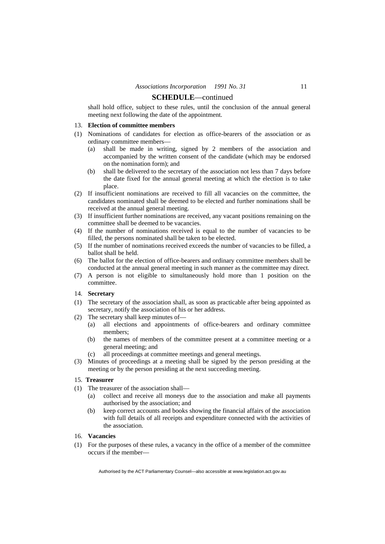shall hold office, subject to these rules, until the conclusion of the annual general meeting next following the date of the appointment.

#### 13. **Election of committee members**

- (1) Nominations of candidates for election as office-bearers of the association or as ordinary committee members—
	- (a) shall be made in writing, signed by 2 members of the association and accompanied by the written consent of the candidate (which may be endorsed on the nomination form); and
	- (b) shall be delivered to the secretary of the association not less than 7 days before the date fixed for the annual general meeting at which the election is to take place.
- (2) If insufficient nominations are received to fill all vacancies on the committee, the candidates nominated shall be deemed to be elected and further nominations shall be received at the annual general meeting.
- (3) If insufficient further nominations are received, any vacant positions remaining on the committee shall be deemed to be vacancies.
- (4) If the number of nominations received is equal to the number of vacancies to be filled, the persons nominated shall be taken to be elected.
- (5) If the number of nominations received exceeds the number of vacancies to be filled, a ballot shall be held.
- (6) The ballot for the election of office-bearers and ordinary committee members shall be conducted at the annual general meeting in such manner as the committee may direct.
- (7) A person is not eligible to simultaneously hold more than 1 position on the committee.

# 14. **Secretary**

- (1) The secretary of the association shall, as soon as practicable after being appointed as secretary, notify the association of his or her address.
- (2) The secretary shall keep minutes of—
	- (a) all elections and appointments of office-bearers and ordinary committee members;
	- (b) the names of members of the committee present at a committee meeting or a general meeting; and
	- (c) all proceedings at committee meetings and general meetings.
- (3) Minutes of proceedings at a meeting shall be signed by the person presiding at the meeting or by the person presiding at the next succeeding meeting.

# 15. **Treasurer**

- (1) The treasurer of the association shall—
	- (a) collect and receive all moneys due to the association and make all payments authorised by the association; and
	- (b) keep correct accounts and books showing the financial affairs of the association with full details of all receipts and expenditure connected with the activities of the association.

#### 16. **Vacancies**

(1) For the purposes of these rules, a vacancy in the office of a member of the committee occurs if the member—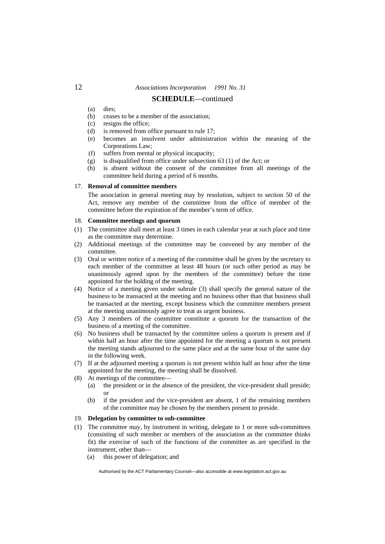# **SCHEDULE**—continued

- (a) dies;
- (b) ceases to be a member of the association;
- (c) resigns the office;
- (d) is removed from office pursuant to rule 17;
- (e) becomes an insolvent under administration within the meaning of the Corporations Law;
- (f) suffers from mental or physical incapacity;
- (g) is disqualified from office under subsection 63 (1) of the Act; or
- (h) is absent without the consent of the committee from all meetings of the committee held during a period of 6 months.

#### 17. **Removal of committee members**

 The association in general meeting may by resolution, subject to section 50 of the Act, remove any member of the committee from the office of member of the committee before the expiration of the member's term of office.

#### 18. **Committee meetings and quorum**

- (1) The committee shall meet at least 3 times in each calendar year at such place and time as the committee may determine.
- (2) Additional meetings of the committee may be convened by any member of the committee.
- (3) Oral or written notice of a meeting of the committee shall be given by the secretary to each member of the committee at least 48 hours (or such other period as may be unanimously agreed upon by the members of the committee) before the time appointed for the holding of the meeting.
- (4) Notice of a meeting given under subrule (3) shall specify the general nature of the business to be transacted at the meeting and no business other than that business shall be transacted at the meeting, except business which the committee members present at the meeting unanimously agree to treat as urgent business.
- (5) Any 3 members of the committee constitute a quorum for the transaction of the business of a meeting of the committee.
- (6) No business shall be transacted by the committee unless a quorum is present and if within half an hour after the time appointed for the meeting a quorum is not present the meeting stands adjourned to the same place and at the same hour of the same day in the following week.
- (7) If at the adjourned meeting a quorum is not present within half an hour after the time appointed for the meeting, the meeting shall be dissolved.
- (8) At meetings of the committee—
	- (a) the president or in the absence of the president, the vice-president shall preside; or
	- (b) if the president and the vice-president are absent, 1 of the remaining members of the committee may be chosen by the members present to preside.

#### 19. **Delegation by committee to sub-committee**

- (1) The committee may, by instrument in writing, delegate to 1 or more sub-committees (consisting of such member or members of the association as the committee thinks fit) the exercise of such of the functions of the committee as are specified in the instrument, other than—
	- (a) this power of delegation; and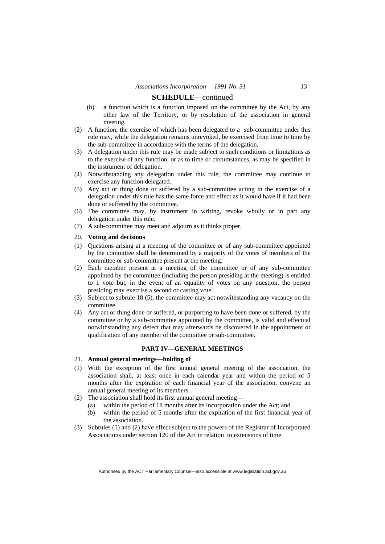- (b) a function which is a function imposed on the committee by the Act, by any other law of the Territory, or by resolution of the association in general meeting.
- (2) A function, the exercise of which has been delegated to a sub-committee under this rule may, while the delegation remains unrevoked, be exercised from time to time by the sub-committee in accordance with the terms of the delegation.
- (3) A delegation under this rule may be made subject to such conditions or limitations as to the exercise of any function, or as to time or circumstances, as may be specified in the instrument of delegation.
- (4) Notwithstanding any delegation under this rule, the committee may continue to exercise any function delegated.
- (5) Any act or thing done or suffered by a sub-committee acting in the exercise of a delegation under this rule has the same force and effect as it would have if it had been done or suffered by the committee.
- (6) The committee may, by instrument in writing, revoke wholly or in part any delegation under this rule.
- (7) A sub-committee may meet and adjourn as it thinks proper.

#### 20. **Voting and decisions**

- (1) Questions arising at a meeting of the committee or of any sub-committee appointed by the committee shall be determined by a majority of the votes of members of the committee or sub-committee present at the meeting.
- (2) Each member present at a meeting of the committee or of any sub-committee appointed by the committee (including the person presiding at the meeting) is entitled to 1 vote but, in the event of an equality of votes on any question, the person presiding may exercise a second or casting vote.
- (3) Subject to subrule 18 (5), the committee may act notwithstanding any vacancy on the committee.
- (4) Any act or thing done or suffered, or purporting to have been done or suffered, by the committee or by a sub-committee appointed by the committee, is valid and effectual notwithstanding any defect that may afterwards be discovered in the appointment or qualification of any member of the committee or sub-committee.

#### **PART IV—GENERAL MEETINGS**

# 21. **Annual general meetings—holding of**

- (1) With the exception of the first annual general meeting of the association, the association shall, at least once in each calendar year and within the period of 5 months after the expiration of each financial year of the association, convene an annual general meeting of its members.
- (2) The association shall hold its first annual general meeting—
	- (a) within the period of 18 months after its incorporation under the Act; and
	- (b) within the period of 5 months after the expiration of the first financial year of the association.
- (3) Subrules (1) and (2) have effect subject to the powers of the Registrar of Incorporated Associations under section 120 of the Act in relation to extensions of time.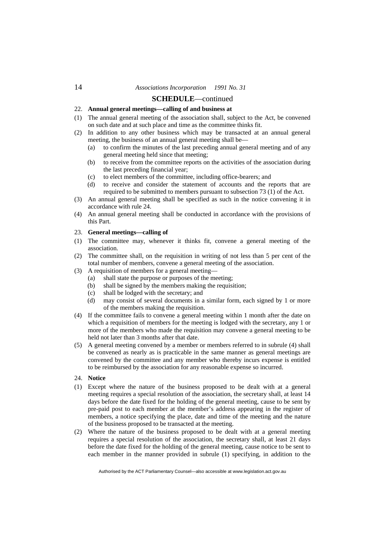# **SCHEDULE**—continued

# 22. **Annual general meetings—calling of and business at**

- (1) The annual general meeting of the association shall, subject to the Act, be convened on such date and at such place and time as the committee thinks fit.
- (2) In addition to any other business which may be transacted at an annual general meeting, the business of an annual general meeting shall be—
	- (a) to confirm the minutes of the last preceding annual general meeting and of any general meeting held since that meeting;
	- (b) to receive from the committee reports on the activities of the association during the last preceding financial year;
	- (c) to elect members of the committee, including office-bearers; and
	- (d) to receive and consider the statement of accounts and the reports that are required to be submitted to members pursuant to subsection 73 (1) of the Act.
- (3) An annual general meeting shall be specified as such in the notice convening it in accordance with rule 24.
- (4) An annual general meeting shall be conducted in accordance with the provisions of this Part.

# 23. **General meetings—calling of**

- (1) The committee may, whenever it thinks fit, convene a general meeting of the association.
- (2) The committee shall, on the requisition in writing of not less than 5 per cent of the total number of members, convene a general meeting of the association.
- (3) A requisition of members for a general meeting—
	- (a) shall state the purpose or purposes of the meeting;
	- (b) shall be signed by the members making the requisition;
	- (c) shall be lodged with the secretary; and
	- (d) may consist of several documents in a similar form, each signed by 1 or more of the members making the requisition.
- (4) If the committee fails to convene a general meeting within 1 month after the date on which a requisition of members for the meeting is lodged with the secretary, any 1 or more of the members who made the requisition may convene a general meeting to be held not later than 3 months after that date.
- (5) A general meeting convened by a member or members referred to in subrule (4) shall be convened as nearly as is practicable in the same manner as general meetings are convened by the committee and any member who thereby incurs expense is entitled to be reimbursed by the association for any reasonable expense so incurred.

#### 24. **Notice**

- (1) Except where the nature of the business proposed to be dealt with at a general meeting requires a special resolution of the association, the secretary shall, at least 14 days before the date fixed for the holding of the general meeting, cause to be sent by pre-paid post to each member at the member's address appearing in the register of members, a notice specifying the place, date and time of the meeting and the nature of the business proposed to be transacted at the meeting.
- (2) Where the nature of the business proposed to be dealt with at a general meeting requires a special resolution of the association, the secretary shall, at least 21 days before the date fixed for the holding of the general meeting, cause notice to be sent to each member in the manner provided in subrule (1) specifying, in addition to the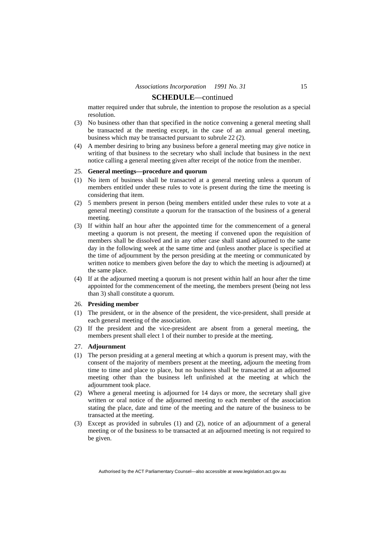matter required under that subrule, the intention to propose the resolution as a special resolution.

- (3) No business other than that specified in the notice convening a general meeting shall be transacted at the meeting except, in the case of an annual general meeting, business which may be transacted pursuant to subrule 22 (2).
- (4) A member desiring to bring any business before a general meeting may give notice in writing of that business to the secretary who shall include that business in the next notice calling a general meeting given after receipt of the notice from the member.

#### 25. **General meetings—procedure and quorum**

- (1) No item of business shall be transacted at a general meeting unless a quorum of members entitled under these rules to vote is present during the time the meeting is considering that item.
- (2) 5 members present in person (being members entitled under these rules to vote at a general meeting) constitute a quorum for the transaction of the business of a general meeting.
- (3) If within half an hour after the appointed time for the commencement of a general meeting a quorum is not present, the meeting if convened upon the requisition of members shall be dissolved and in any other case shall stand adjourned to the same day in the following week at the same time and (unless another place is specified at the time of adjournment by the person presiding at the meeting or communicated by written notice to members given before the day to which the meeting is adjourned) at the same place.
- (4) If at the adjourned meeting a quorum is not present within half an hour after the time appointed for the commencement of the meeting, the members present (being not less than 3) shall constitute a quorum.

#### 26. **Presiding member**

- (1) The president, or in the absence of the president, the vice-president, shall preside at each general meeting of the association.
- (2) If the president and the vice-president are absent from a general meeting, the members present shall elect 1 of their number to preside at the meeting.

#### 27. **Adjournment**

- (1) The person presiding at a general meeting at which a quorum is present may, with the consent of the majority of members present at the meeting, adjourn the meeting from time to time and place to place, but no business shall be transacted at an adjourned meeting other than the business left unfinished at the meeting at which the adjournment took place.
- (2) Where a general meeting is adjourned for 14 days or more, the secretary shall give written or oral notice of the adjourned meeting to each member of the association stating the place, date and time of the meeting and the nature of the business to be transacted at the meeting.
- (3) Except as provided in subrules (1) and (2), notice of an adjournment of a general meeting or of the business to be transacted at an adjourned meeting is not required to be given.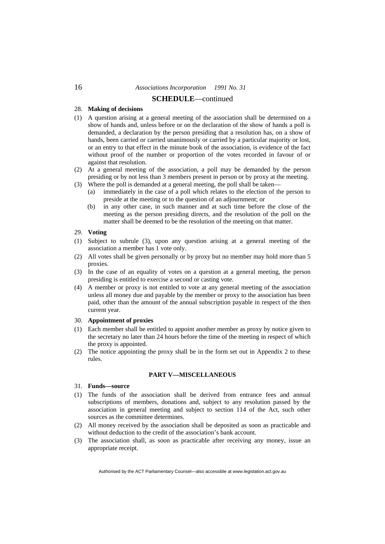# 28. **Making of decisions**

- (1) A question arising at a general meeting of the association shall be determined on a show of hands and, unless before or on the declaration of the show of hands a poll is demanded, a declaration by the person presiding that a resolution has, on a show of hands, been carried or carried unanimously or carried by a particular majority or lost, or an entry to that effect in the minute book of the association, is evidence of the fact without proof of the number or proportion of the votes recorded in favour of or against that resolution.
- (2) At a general meeting of the association, a poll may be demanded by the person presiding or by not less than 3 members present in person or by proxy at the meeting.
- (3) Where the poll is demanded at a general meeting, the poll shall be taken—
	- (a) immediately in the case of a poll which relates to the election of the person to preside at the meeting or to the question of an adjournment; or
	- (b) in any other case, in such manner and at such time before the close of the meeting as the person presiding directs, and the resolution of the poll on the matter shall be deemed to be the resolution of the meeting on that matter.

#### 29. **Voting**

- (1) Subject to subrule (3), upon any question arising at a general meeting of the association a member has 1 vote only.
- (2) All votes shall be given personally or by proxy but no member may hold more than 5 proxies.
- (3) In the case of an equality of votes on a question at a general meeting, the person presiding is entitled to exercise a second or casting vote.
- (4) A member or proxy is not entitled to vote at any general meeting of the association unless all money due and payable by the member or proxy to the association has been paid, other than the amount of the annual subscription payable in respect of the then current year.

#### 30. **Appointment of proxies**

- (1) Each member shall be entitled to appoint another member as proxy by notice given to the secretary no later than 24 hours before the time of the meeting in respect of which the proxy is appointed.
- (2) The notice appointing the proxy shall be in the form set out in Appendix 2 to these rules.

# **PART V—MISCELLANEOUS**

#### 31. **Funds—source**

- (1) The funds of the association shall be derived from entrance fees and annual subscriptions of members, donations and, subject to any resolution passed by the association in general meeting and subject to section 114 of the Act, such other sources as the committee determines.
- (2) All money received by the association shall be deposited as soon as practicable and without deduction to the credit of the association's bank account.
- (3) The association shall, as soon as practicable after receiving any money, issue an appropriate receipt.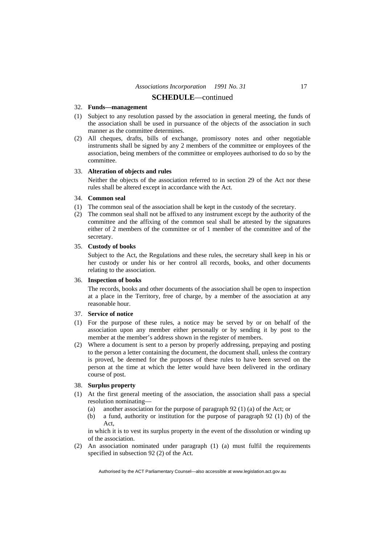#### 32. **Funds—management**

- (1) Subject to any resolution passed by the association in general meeting, the funds of the association shall be used in pursuance of the objects of the association in such manner as the committee determines.
- (2) All cheques, drafts, bills of exchange, promissory notes and other negotiable instruments shall be signed by any 2 members of the committee or employees of the association, being members of the committee or employees authorised to do so by the committee.

#### 33. **Alteration of objects and rules**

 Neither the objects of the association referred to in section 29 of the Act nor these rules shall be altered except in accordance with the Act.

#### 34. **Common seal**

- (1) The common seal of the association shall be kept in the custody of the secretary.
- (2) The common seal shall not be affixed to any instrument except by the authority of the committee and the affixing of the common seal shall be attested by the signatures either of 2 members of the committee or of 1 member of the committee and of the secretary.

#### 35. **Custody of books**

 Subject to the Act, the Regulations and these rules, the secretary shall keep in his or her custody or under his or her control all records, books, and other documents relating to the association.

#### 36. **Inspection of books**

 The records, books and other documents of the association shall be open to inspection at a place in the Territory, free of charge, by a member of the association at any reasonable hour.

#### 37. **Service of notice**

- (1) For the purpose of these rules, a notice may be served by or on behalf of the association upon any member either personally or by sending it by post to the member at the member's address shown in the register of members.
- (2) Where a document is sent to a person by properly addressing, prepaying and posting to the person a letter containing the document, the document shall, unless the contrary is proved, be deemed for the purposes of these rules to have been served on the person at the time at which the letter would have been delivered in the ordinary course of post.

# 38. **Surplus property**

- (1) At the first general meeting of the association, the association shall pass a special resolution nominating—
	- (a) another association for the purpose of paragraph 92 (1) (a) of the Act; or
	- (b) a fund, authority or institution for the purpose of paragraph 92 (1) (b) of the Act,

 in which it is to vest its surplus property in the event of the dissolution or winding up of the association.

(2) An association nominated under paragraph (1) (a) must fulfil the requirements specified in subsection 92 (2) of the Act.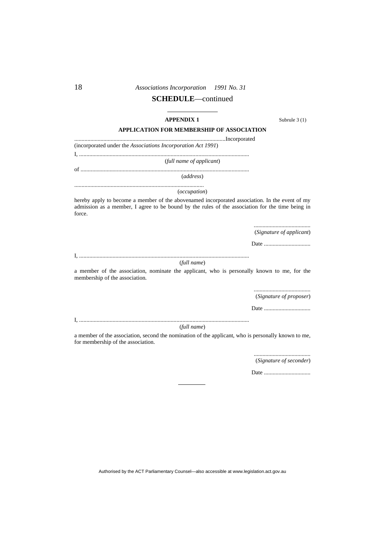# **SCHEDULE**—continued

#### **APPENDIX 1** Subrule 3 (1)

## **APPLICATION FOR MEMBERSHIP OF ASSOCIATION**

........................................................................................................Incorporated (incorporated under the *Associations Incorporation Act 1991*) I, .....................................................................................................................

(*full name of applicant*)

of ....................................................................................................................

(*address*)

#### ......................................................................................... (*occupation*)

hereby apply to become a member of the abovenamed incorporated association. In the event of my admission as a member, I agree to be bound by the rules of the association for the time being in force.

> ....................................... (*Signature of applicant*)

Date ................................

I, .....................................................................................................................

#### (*full name*)

a member of the association, nominate the applicant, who is personally known to me, for the membership of the association.

> ....................................... (*Signature of proposer*)

Date ................................

(*full name*)

I, .....................................................................................................................

a member of the association, second the nomination of the applicant, who is personally known to me, for membership of the association.

> ....................................... (*Signature of seconder*)

Date ................................